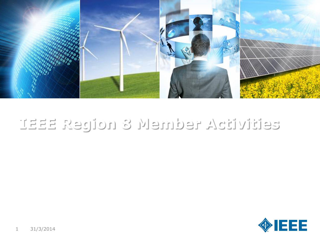

#### **IEEE Region 8 Member Activities**

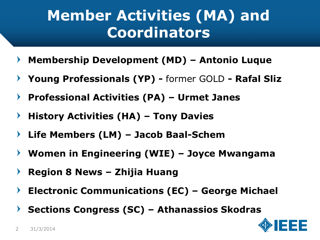#### **Member Activities (MA) and Coordinators**

- **Membership Development (MD) – Antonio Luque**  $\blacktriangleright$
- **Young Professionals (YP) -** former GOLD **- Rafal Sliz**  $\blacktriangleright$
- **Professional Activities (PA) – Urmet Janes**  $\blacktriangleright$
- **History Activities (HA) – Tony Davies**  $\blacktriangleright$
- **Life Members (LM) – Jacob Baal-Schem**
- **Women in Engineering (WIE) – Joyce Mwangama**  $\blacktriangleright$
- **Region 8 News – Zhijia Huang**  $\blacktriangleright$
- **Electronic Communications (EC) – George Michael**  $\blacktriangleright$
- **Sections Congress (SC) – Athanassios Skodras**  $\blacktriangleright$

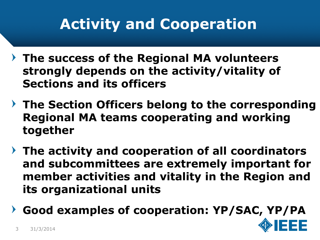# **Activity and Cooperation**

- **The success of the Regional MA volunteers strongly depends on the activity/vitality of Sections and its officers**
- **The Section Officers belong to the corresponding Regional MA teams cooperating and working together**
- **The activity and cooperation of all coordinators and subcommittees are extremely important for member activities and vitality in the Region and its organizational units**
- **Good examples of cooperation: YP/SAC, YP/PA**

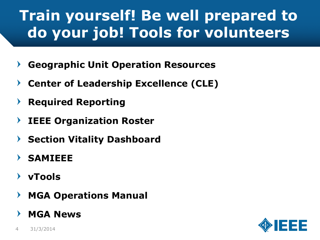# **Train yourself! Be well prepared to do your job! Tools for volunteers**

- **Geographic Unit Operation Resources**
- **Center of Leadership Excellence (CLE)**
- **Required Reporting**
- **IEEE Organization Roster**  $\blacktriangleright$
- **Section Vitality Dashboard**
- **SAMIEEE**
- **vTools**
- **MGA Operations Manual**
- **MGA News**